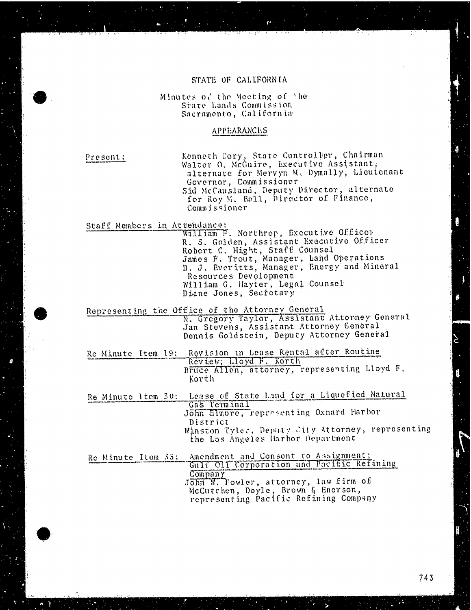#### STATE OF CALIFORNIA

Minutes of the Meeting of the State Lands Commission Sacramento, California

### APPEARANCES

Present: Kenneth Cory, State Controller, Chairman Walter O. McGuire, Executive Assistant, alternate for Mervyn M. Dymally, Lieutenant Governor, Commissioner Sid McCausland, Deputy Director, alternate for Roy M. Bell, Director of Finance, Commissioner

Staff Members in Attendance:<br>William F. Northrop, Executive Office R. S. Golden, Assistant Executive Officer R. S. Golden, Assistant Executive Officer Robert C. Hight, Staff Counsel James F. Trout, Manager, Land Operations. D. J. Everitts, Manager, Energy and Mineral Resources Development William G. Hayter, Legal Counsel Diane Jones, Secretary

Representing the Office of the Attorney General<br>N. Gregory Taylor, Assistant Attorney General<br>Jan Stevens, Assistant Attorney General Dennis Goldstein, Deputy Attorney General

Re Minute Item 19; Revision in Lease Rental after Routine Review; Lloyd F. K Bruce Allen, attorney, representing Lioya Korth

Re Minute itom 30: Lease of State Land for a Liquefied Natural Gas Terminal John Elmore, representing Oxnard Harbor District Winston Tyler. Deputy city Attorney, representing the Los Angeles Harbor Department

Re Minute Item 35: Amendment and Consent to Assignment;<br>Gulf Oil Corporation and Pacific Refining Company John W. Fowler, attorney, law firm of Mccutchen, Doyle, Brown & Enerson, representing Pacific Refining Company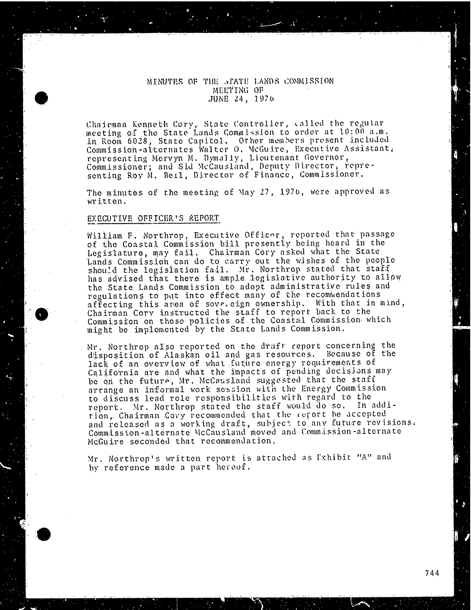## MINUTES OF THE STATE LANDS COMMISSION MEETING OF JUNE 24, 1976

Chairman Kenneth Cory, State Controller, called<br>meeting of the from Lands Commission to order a meeting of the State Lands Commission to order at 10:00 a.m. in Room 6028, State Capitol. Other members present included<br>Commission-alternates Walter O. McGuire, Executive Assistant, Commission -alternates Walter O. McGuire, Executive Assistant; representing Mervyn M. Dymally, Lieutenant Governor, Commissioner; and Sid McCausland, Deputy Director, representation of the Commission senting Roy M. Bell, Director of Finance, Commission

The minutes of the meeting of May 27, 1976, were approved a's written.

#### EXECUTIVE OFFICER'S REPORT

William F. Northrop, Executive Officer, reported that passage of the Coastal Commission bill presently being heard in the Legislature, may fail, Chairman Cory asked what the State Lands Commission can do to carry out the wishes of the people should the legislation fail. Mr. Northrop stated that staff has advised that there is ample legislative authority to allow the State Lands Commission to adopt administrative rules and regulations to put into effect many of the recommendations affecting this area of sove. edgn ownership. With that in mind,<br>Chairman Cory instructed the staff to report back to the Chairman Cory instructed the staff to report Commission on those policies of the Coastal Commission might be implemented by the State Lands Commis

Mr. Northrop also reported on the draft report conce disposition of Alaskan oil and gas resources. lack of an overview of what future energy requirements of California are and what the impacts of pending decisions may be on the future, Mr. McCausland suggested that the staff<br>arrange an informal work session with the Energy Commission arrange an informal work session with the Energy Commission of the Energy Commission of the Energy Commission to discuss lead role responsibilities with report. Mr. Northrop stated the staff would do tion, Chairman Cory recommended that the report be and released as a working draft, subject to any future revisions. Commission-alternate McCausland moved and Commission-alternate McGuire seconded that recommendation,

Mr. Northrop's written report is attached as Exhibit "A" and by reference made a part hereof.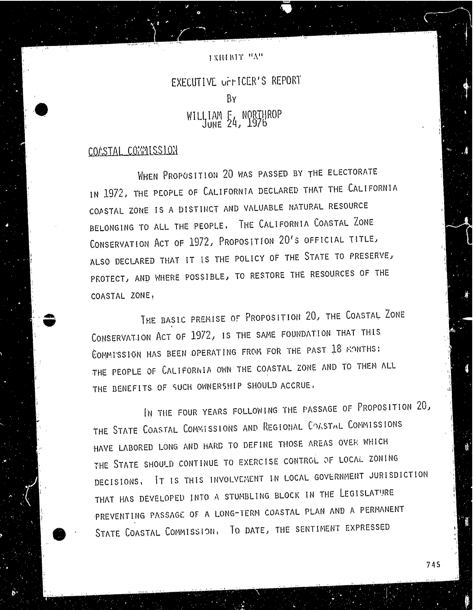## I XIIIBIT "A"

# EXECUTIVE UFFICER'S REPORT BY WILLIAM 57 NYBIR'  $\sum_{n=1}^{\infty}$

## COASTAL COMMISSION

WHEN PROPOSITION 20 WAS PASSED BY THE ELECTORATE IN 1972, THE PEOPLE OF CALIFORNIA DECLARED THAT THE CALIFORNIA COASTAL ZONE IS A DISTINCT AND VALUABLE NATURAL RESOURCE BELONGING TO ALL THE PEOPLE. THE CALIFORNIA COASTAL ZONE CONSERVATION ACT OF 1972, PROPOSITION 20'S OFFICIAL TITLE, ALSO DECLARED THAT IT IS THE POLICY OF THE STATE TO PRESERVE, PROTECT, AND WHERE POSSIBLE, TO RESTORE THE RESOURCES OF THE COASTAL ZONE,

THE BASIC PREMISE OF PROPOSITION 20, THE COASTAL ZONE CONSERVATION ACT OF 1972, IS THE SAME FOUNDATION THAT THIS COMMISSION HAS BEEN OPERATING FROM FOR THE PAST 18 MONTHS: THE PEOPLE OF CALIFORNIA OWN THE COASTAL ZONE AND TO THEM ALL THE BENEFITS OF SUCH OWNERSHIP SHOULD ACCRUE ,

IN THE FOUR YEARS FOLLOWING THE PASSAGE OF PROPOSITION 20, THE STATE COASTAL COMMISSIONS AND REGIONAL COASTAL COMMISSIONS HAVE LABORED LONG AND HARD TO DEFINE THOSE AREAS OVER WHICH THE STATE SHOULD CONTINUE TO EXERCISE CONTROL OF LOCAL ZONING DECISIONS, IT IS THIS INVOLVEMENT IN LOCAL GOVERNMENT JURISDICTION THAT HAS DEVELOPED INTO A STUMBLING BLOCK IN THE LEGISLATURE PREVENTING PASSAGE OF A LONG-TERM COASTAL PLAN AND A PERMANENT STATE COASTAL COMMISSION, TO DATE, THE SENTIMENT EXPRESSED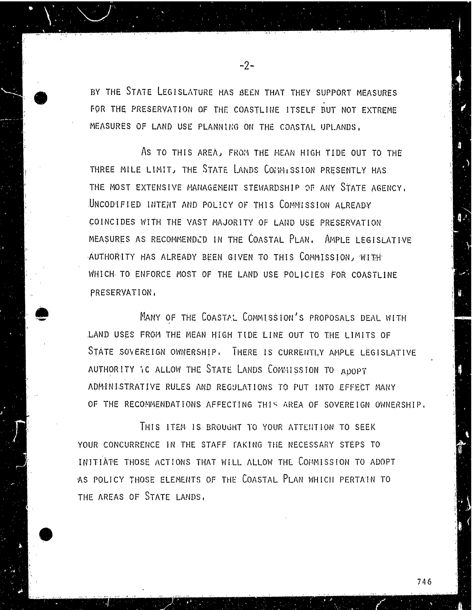BY THE STATE LEGISLATURE HAS BEEN THAT THEY SUPPORT MEASURES FOR THE PRESERVATION OF THE COASTLINE ITSELF BUT NOT EXTREME MEASURES OF LAND USE PLANNING ON THE COASTAL UPLANDS,

-2-

AS TO THIS AREA, FROM THE MEAN HIGH TIDE OUT TO THE THREE MILE LIMIT, THE STATE LANDS COMMISSION PRESENTLY HAS THE MOST EXTENSIVE MANAGEMENT STEWARDSHIP OF ANY STATE AGENCY. UNCODIFIED INTENT AND POLICY OF THIS COMMISSION ALREADY COINCIDES WITH THE VAST MAJORITY OF LAND USE PRESERVATION MEASURES AS RECOMMENDED IN THE COASTAL PLAN. AMPLE LEGISLATIVE AUTHORITY HAS ALREADY BEEN GIVEN TO THIS COMMISSION, WITH WHICH TO ENFORCE MOST OF THE LAND USE POLICIES FOR COASTLINE PRESERVATION,

MANY OF THE COASTAL COMMISSION'S PROPOSALS DEAL WITH LAND USES FROM THE MEAN HIGH TIDE LINE OUT TO THE LIMITS OF STATE SOVEREIGN OWNERSHIP, THERE IS CURRENTLY AMPLE LEGISLATIVE AUTHORITY IC ALLOW THE STATE LANDS COMMISSION TO ADOPT ADMINISTRATIVE RULES AND REGULATIONS TO PUT INTO EFFECT MANY OF THE RECOMMENDATIONS AFFECTING THIS AREA OF SOVEREIGN OWNERSHIP,

THIS ITEM IS BROUGHT TO YOUR ATTENTION TO SEEK YOUR CONCURRENCE IN THE STAFF TAKING THE NECESSARY STEPS TO INITIATE THOSE ACTIONS THAT WILL ALLOW THE COMMISSION TO ADOPT AS POLICY THOSE ELEMENTS OF THE COASTAL PLAN WHICH PERTAIN TO THE AREAS OF STATE LANDS.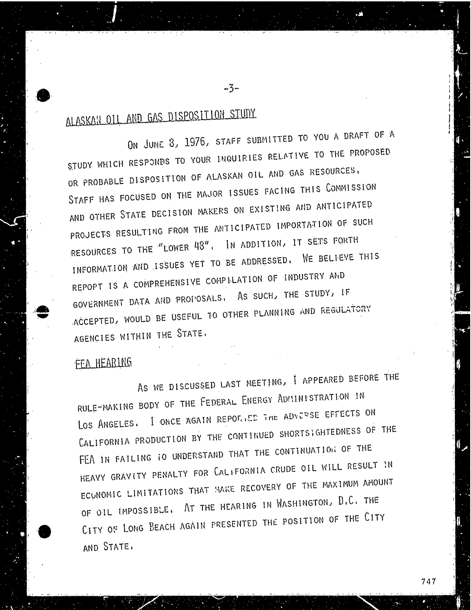ALASKAN OIL AND GAS DISPOSITION STUDY.<br>ON JUNE 8, 1976, STAFF SUBMITTED TO YOU A DRAFT OF A STUDY WHICH RESPONDS TO YOUR INQUIRIES RELATIVE TO THE PROPOSED OR PROBABLE DISPOSITION OF ALASKAN OIL AND GAS RESOURCES, STAFF HAS FOCUSED ON THE MAJOR ISSUES FACING THIS COMMISSION AND OTHER STATE DECISION MAKERS ON EXISTING AND ANTICIPATED PROJECTS RESULTING FROM THE ANTICIPATED IMPORTATION OF SUCH RESOURCES TO THE "LOWER 48". IN ADDITION, IT SETS FORTH INFORMATION AND ISSUES YET TO BE ADDRESSED. WE BELIEVE THIS REPOPT IS A COMPREHENSIVE COMPILATION OF INDUSTRY AND GOVERNMENT DATA AND PROFOSALS. AS SUCH, THE STUDY, IF GOVERNMENT DATA AND PROPOSED AND PROPOSED AND REGULA ACCEPTED, WOULD BE USEFUL TO OTHER PLANNING AND REGULATORY OF THE USEFUL TO OTHER PLANNING AND REGULATORY OF THE USEFUL TO A REGULAR PLANNING AND REGULAR PLANNING AND REGULAR PLANNING AND REGULAR PLANNING AND REGULAR PLANN AGENCIES WITHIN THE STATE,

-3-

# FEA HEARING

AS WE DISCUSSED LAST MEETING, I APPEARED BEFORE THE RULE-MAKING BODY OF THE FEDERAL ENERGY ADILINISTRATION IN LOS ANGELES. I ONCE AGAIN REPORTED THE ADVERSE EFFECTS ON CALIFORNIA PRODUCTION BY THE CONTINUED SHORTSIGHTEDNESS OF THE FEA IN FAILING TO UNDERSTAND THAT THE CONTINUATION OF THE HEAVY GRAVITY PENALTY FOR CALIFORNIA CRUDE OIL WILL RESULT IN ECUNOMIC LIMITATIONS THAT MAKE RECOVERY OF THE MAXIMUM AMOUNT OF OIL IMPOSSIBLE, AT THE HEARING IN WASHINGTON, D.C. THE OF OIL INFOSCIBLE, AT THE THE ROSSETTION OF THE CIT CITY OF LONG BEACH AGAINST PRESENT AND STATE.